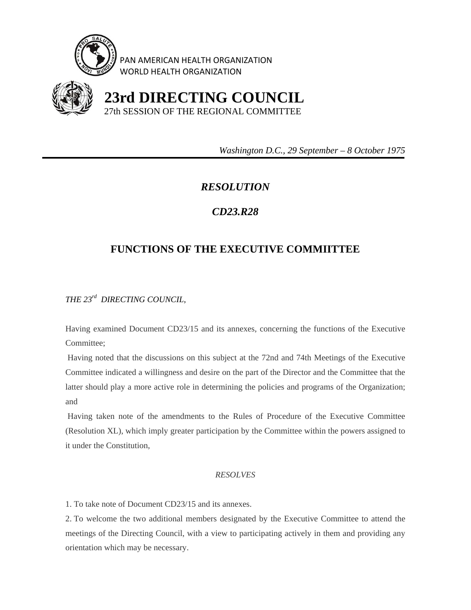

PAN AMERICAN HEALTH ORGANIZATION WORLD HEALTH ORGANIZATION



 **23rd DIRECTING COUNCIL** 27th SESSION OF THE REGIONAL COMMITTEE

 *Washington D.C., 29 September – 8 October 1975* 

## *RESOLUTION*

## *CD23.R28*

## **FUNCTIONS OF THE EXECUTIVE COMMIITTEE**

*THE 23rd DIRECTING COUNCIL,* 

Having examined Document CD23/15 and its annexes, concerning the functions of the Executive Committee;

 Having noted that the discussions on this subject at the 72nd and 74th Meetings of the Executive Committee indicated a willingness and desire on the part of the Director and the Committee that the latter should play a more active role in determining the policies and programs of the Organization; and

 Having taken note of the amendments to the Rules of Procedure of the Executive Committee (Resolution XL), which imply greater participation by the Committee within the powers assigned to it under the Constitution,

## *RESOLVES*

1. To take note of Document CD23/15 and its annexes.

2. To welcome the two additional members designated by the Executive Committee to attend the meetings of the Directing Council, with a view to participating actively in them and providing any orientation which may be necessary.